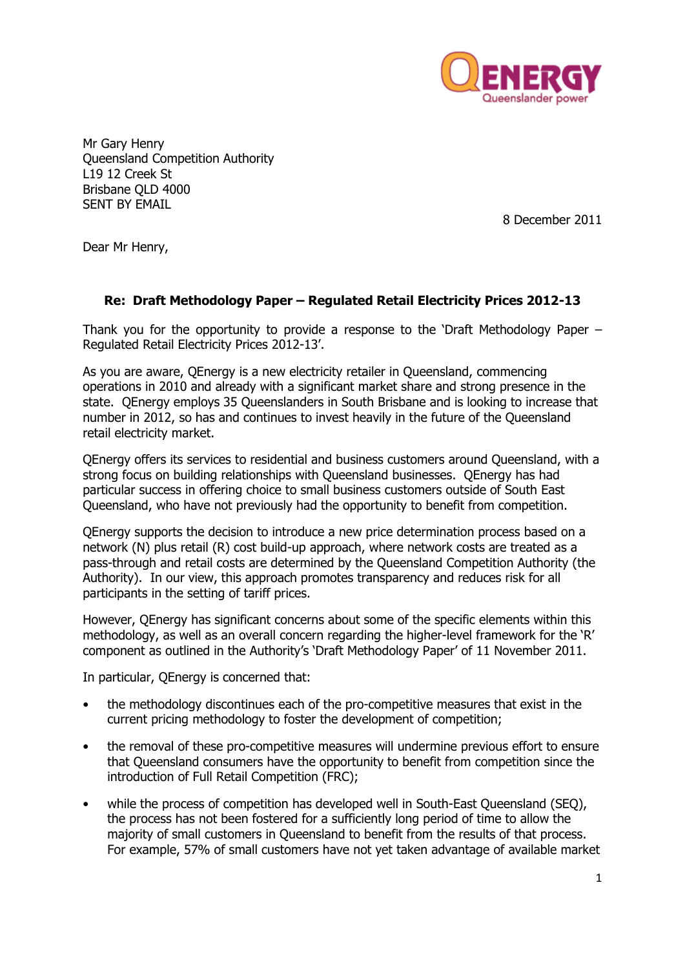

Mr Gary Henry Queensland Competition Authority L19 12 Creek St Brisbane QLD 4000 SENT BY EMAIL

8 December 2011

Dear Mr Henry,

# **Re: Draft Methodology Paper – Regulated Retail Electricity Prices 2012-13**

Thank you for the opportunity to provide a response to the "Draft Methodology Paper – Regulated Retail Electricity Prices 2012-13".

As you are aware, QEnergy is a new electricity retailer in Queensland, commencing operations in 2010 and already with a significant market share and strong presence in the state. QEnergy employs 35 Queenslanders in South Brisbane and is looking to increase that number in 2012, so has and continues to invest heavily in the future of the Queensland retail electricity market.

QEnergy offers its services to residential and business customers around Queensland, with a strong focus on building relationships with Queensland businesses. QEnergy has had particular success in offering choice to small business customers outside of South East Queensland, who have not previously had the opportunity to benefit from competition.

QEnergy supports the decision to introduce a new price determination process based on a network (N) plus retail (R) cost build-up approach, where network costs are treated as a pass-through and retail costs are determined by the Queensland Competition Authority (the Authority). In our view, this approach promotes transparency and reduces risk for all participants in the setting of tariff prices.

However, QEnergy has significant concerns about some of the specific elements within this methodology, as well as an overall concern regarding the higher-level framework for the "R" component as outlined in the Authority"s "Draft Methodology Paper" of 11 November 2011.

In particular, QEnergy is concerned that:

- the methodology discontinues each of the pro-competitive measures that exist in the current pricing methodology to foster the development of competition;
- the removal of these pro-competitive measures will undermine previous effort to ensure that Queensland consumers have the opportunity to benefit from competition since the introduction of Full Retail Competition (FRC);
- while the process of competition has developed well in South-East Queensland (SEQ), the process has not been fostered for a sufficiently long period of time to allow the majority of small customers in Queensland to benefit from the results of that process. For example, 57% of small customers have not yet taken advantage of available market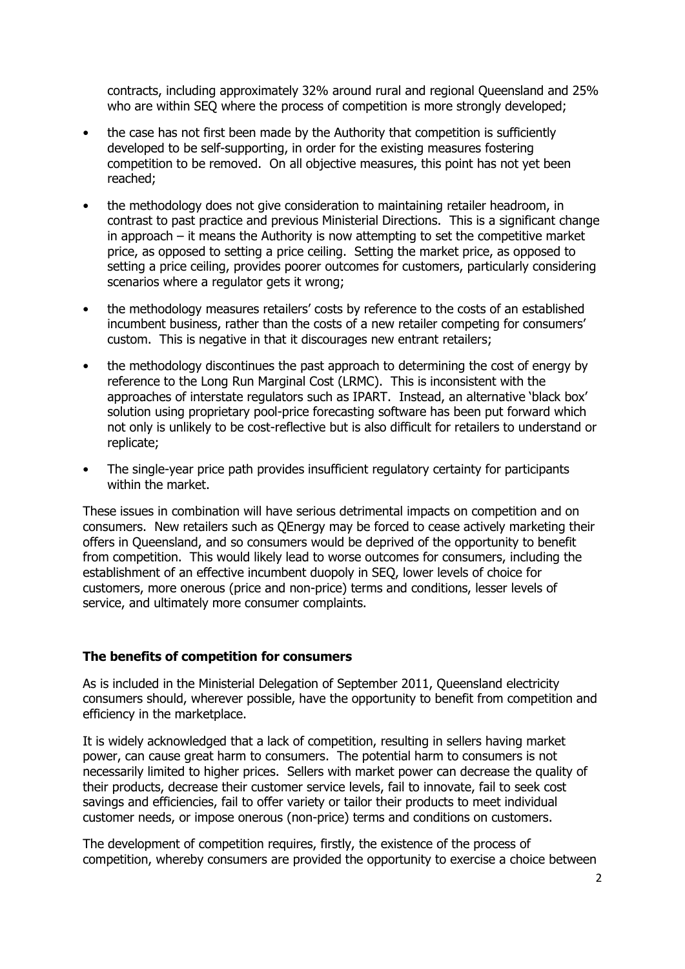contracts, including approximately 32% around rural and regional Queensland and 25% who are within SEQ where the process of competition is more strongly developed;

- the case has not first been made by the Authority that competition is sufficiently developed to be self-supporting, in order for the existing measures fostering competition to be removed. On all objective measures, this point has not yet been reached;
- the methodology does not give consideration to maintaining retailer headroom, in contrast to past practice and previous Ministerial Directions. This is a significant change in approach – it means the Authority is now attempting to set the competitive market price, as opposed to setting a price ceiling. Setting the market price, as opposed to setting a price ceiling, provides poorer outcomes for customers, particularly considering scenarios where a regulator gets it wrong;
- the methodology measures retailers' costs by reference to the costs of an established incumbent business, rather than the costs of a new retailer competing for consumers' custom. This is negative in that it discourages new entrant retailers;
- the methodology discontinues the past approach to determining the cost of energy by reference to the Long Run Marginal Cost (LRMC). This is inconsistent with the approaches of interstate regulators such as IPART. Instead, an alternative "black box" solution using proprietary pool-price forecasting software has been put forward which not only is unlikely to be cost-reflective but is also difficult for retailers to understand or replicate;
- The single-year price path provides insufficient regulatory certainty for participants within the market.

These issues in combination will have serious detrimental impacts on competition and on consumers. New retailers such as QEnergy may be forced to cease actively marketing their offers in Queensland, and so consumers would be deprived of the opportunity to benefit from competition. This would likely lead to worse outcomes for consumers, including the establishment of an effective incumbent duopoly in SEQ, lower levels of choice for customers, more onerous (price and non-price) terms and conditions, lesser levels of service, and ultimately more consumer complaints.

### **The benefits of competition for consumers**

As is included in the Ministerial Delegation of September 2011, Queensland electricity consumers should, wherever possible, have the opportunity to benefit from competition and efficiency in the marketplace.

It is widely acknowledged that a lack of competition, resulting in sellers having market power, can cause great harm to consumers. The potential harm to consumers is not necessarily limited to higher prices. Sellers with market power can decrease the quality of their products, decrease their customer service levels, fail to innovate, fail to seek cost savings and efficiencies, fail to offer variety or tailor their products to meet individual customer needs, or impose onerous (non-price) terms and conditions on customers.

The development of competition requires, firstly, the existence of the process of competition, whereby consumers are provided the opportunity to exercise a choice between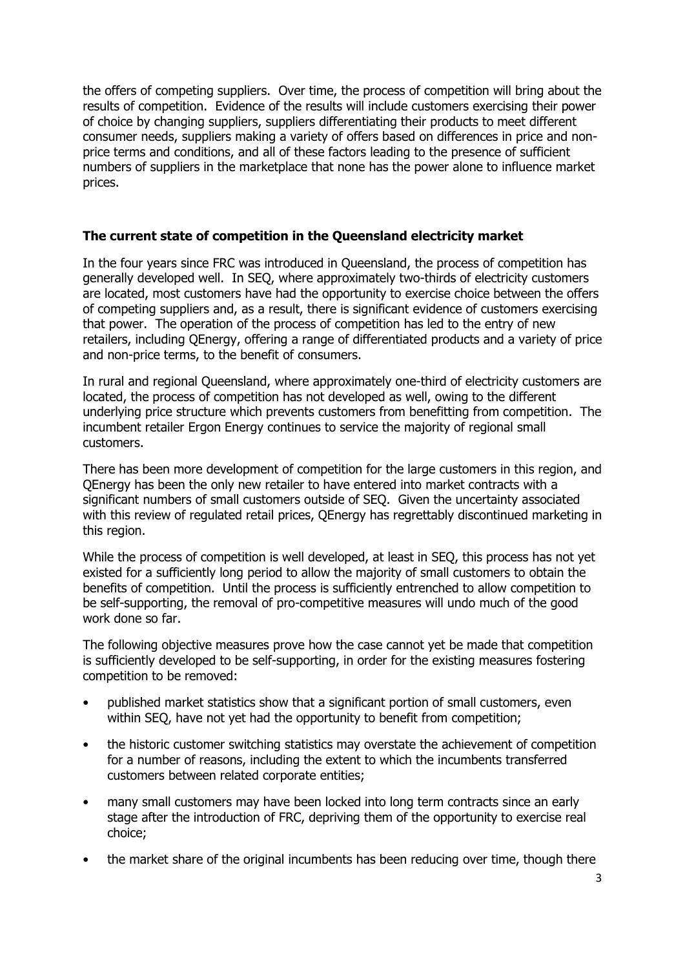the offers of competing suppliers. Over time, the process of competition will bring about the results of competition. Evidence of the results will include customers exercising their power of choice by changing suppliers, suppliers differentiating their products to meet different consumer needs, suppliers making a variety of offers based on differences in price and nonprice terms and conditions, and all of these factors leading to the presence of sufficient numbers of suppliers in the marketplace that none has the power alone to influence market prices.

# **The current state of competition in the Queensland electricity market**

In the four years since FRC was introduced in Queensland, the process of competition has generally developed well. In SEQ, where approximately two-thirds of electricity customers are located, most customers have had the opportunity to exercise choice between the offers of competing suppliers and, as a result, there is significant evidence of customers exercising that power. The operation of the process of competition has led to the entry of new retailers, including QEnergy, offering a range of differentiated products and a variety of price and non-price terms, to the benefit of consumers.

In rural and regional Queensland, where approximately one-third of electricity customers are located, the process of competition has not developed as well, owing to the different underlying price structure which prevents customers from benefitting from competition. The incumbent retailer Ergon Energy continues to service the majority of regional small customers.

There has been more development of competition for the large customers in this region, and QEnergy has been the only new retailer to have entered into market contracts with a significant numbers of small customers outside of SEQ. Given the uncertainty associated with this review of regulated retail prices, QEnergy has regrettably discontinued marketing in this region.

While the process of competition is well developed, at least in SEQ, this process has not yet existed for a sufficiently long period to allow the majority of small customers to obtain the benefits of competition. Until the process is sufficiently entrenched to allow competition to be self-supporting, the removal of pro-competitive measures will undo much of the good work done so far.

The following objective measures prove how the case cannot yet be made that competition is sufficiently developed to be self-supporting, in order for the existing measures fostering competition to be removed:

- published market statistics show that a significant portion of small customers, even within SEQ, have not yet had the opportunity to benefit from competition;
- the historic customer switching statistics may overstate the achievement of competition for a number of reasons, including the extent to which the incumbents transferred customers between related corporate entities;
- many small customers may have been locked into long term contracts since an early stage after the introduction of FRC, depriving them of the opportunity to exercise real choice;
- the market share of the original incumbents has been reducing over time, though there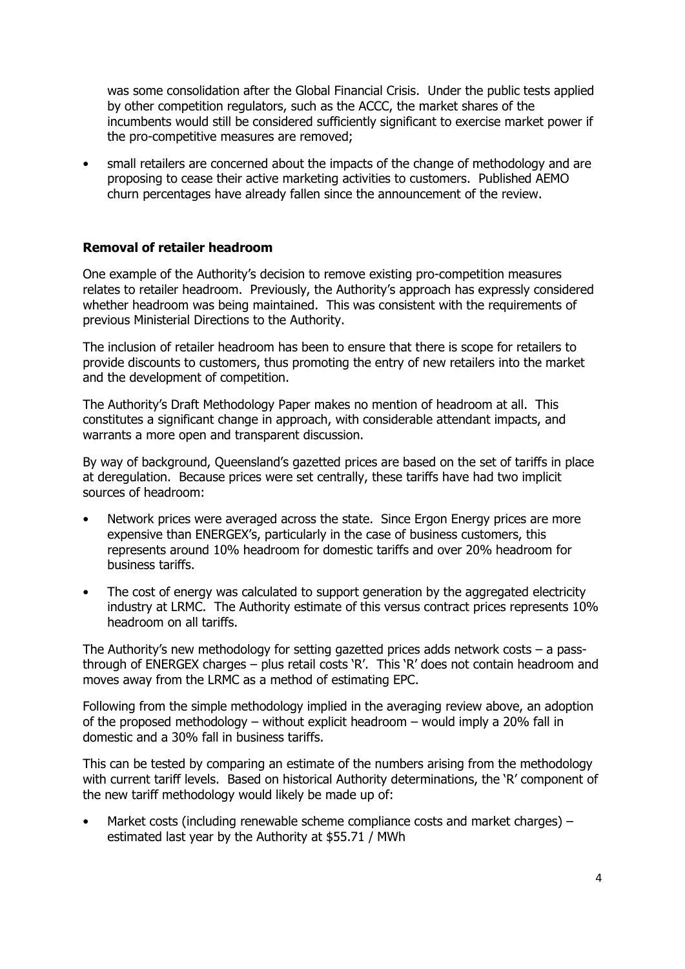was some consolidation after the Global Financial Crisis. Under the public tests applied by other competition regulators, such as the ACCC, the market shares of the incumbents would still be considered sufficiently significant to exercise market power if the pro-competitive measures are removed;

• small retailers are concerned about the impacts of the change of methodology and are proposing to cease their active marketing activities to customers. Published AEMO churn percentages have already fallen since the announcement of the review.

# **Removal of retailer headroom**

One example of the Authority"s decision to remove existing pro-competition measures relates to retailer headroom. Previously, the Authority's approach has expressly considered whether headroom was being maintained. This was consistent with the requirements of previous Ministerial Directions to the Authority.

The inclusion of retailer headroom has been to ensure that there is scope for retailers to provide discounts to customers, thus promoting the entry of new retailers into the market and the development of competition.

The Authority"s Draft Methodology Paper makes no mention of headroom at all. This constitutes a significant change in approach, with considerable attendant impacts, and warrants a more open and transparent discussion.

By way of background, Queensland"s gazetted prices are based on the set of tariffs in place at deregulation. Because prices were set centrally, these tariffs have had two implicit sources of headroom:

- Network prices were averaged across the state. Since Ergon Energy prices are more expensive than ENERGEX"s, particularly in the case of business customers, this represents around 10% headroom for domestic tariffs and over 20% headroom for business tariffs.
- The cost of energy was calculated to support generation by the aggregated electricity industry at LRMC. The Authority estimate of this versus contract prices represents 10% headroom on all tariffs.

The Authority's new methodology for setting gazetted prices adds network costs  $-$  a passthrough of ENERGEX charges – plus retail costs 'R'. This 'R' does not contain headroom and moves away from the LRMC as a method of estimating EPC.

Following from the simple methodology implied in the averaging review above, an adoption of the proposed methodology – without explicit headroom – would imply a 20% fall in domestic and a 30% fall in business tariffs.

This can be tested by comparing an estimate of the numbers arising from the methodology with current tariff levels. Based on historical Authority determinations, the 'R' component of the new tariff methodology would likely be made up of:

• Market costs (including renewable scheme compliance costs and market charges) – estimated last year by the Authority at \$55.71 / MWh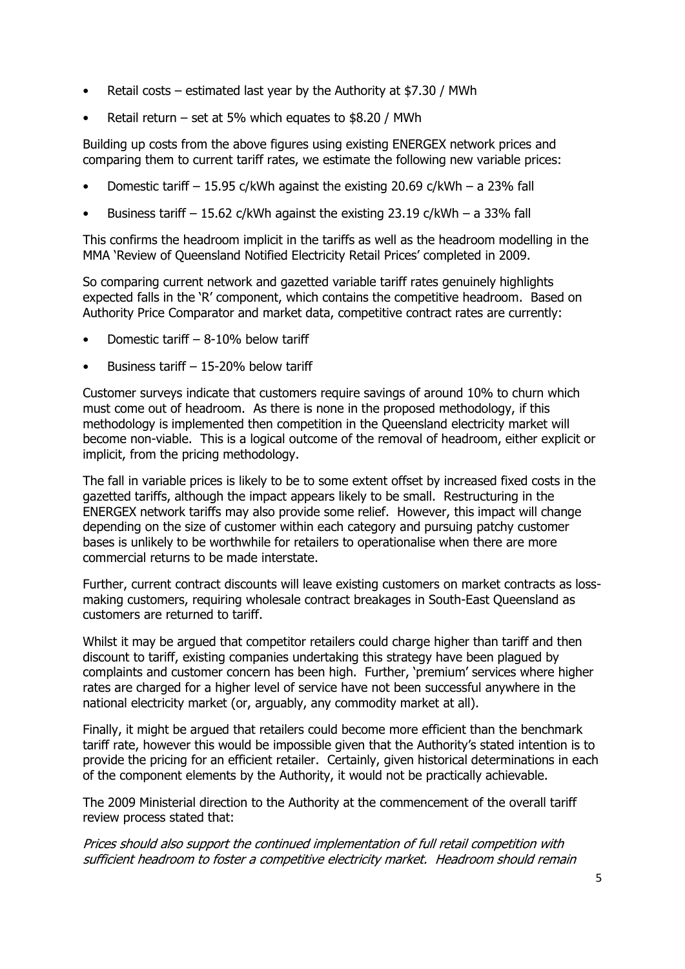- Retail costs estimated last year by the Authority at \$7.30 / MWh
- Retail return set at 5% which equates to  $$8.20 / MWh$

Building up costs from the above figures using existing ENERGEX network prices and comparing them to current tariff rates, we estimate the following new variable prices:

- Domestic tariff  $-15.95$  c/kWh against the existing 20.69 c/kWh  $-$  a 23% fall
- Business tariff  $-15.62$  c/kWh against the existing 23.19 c/kWh  $-$  a 33% fall

This confirms the headroom implicit in the tariffs as well as the headroom modelling in the MMA 'Review of Queensland Notified Electricity Retail Prices' completed in 2009.

So comparing current network and gazetted variable tariff rates genuinely highlights expected falls in the "R" component, which contains the competitive headroom. Based on Authority Price Comparator and market data, competitive contract rates are currently:

- Domestic tariff 8-10% below tariff
- Business tariff 15-20% below tariff

Customer surveys indicate that customers require savings of around 10% to churn which must come out of headroom. As there is none in the proposed methodology, if this methodology is implemented then competition in the Queensland electricity market will become non-viable. This is a logical outcome of the removal of headroom, either explicit or implicit, from the pricing methodology.

The fall in variable prices is likely to be to some extent offset by increased fixed costs in the gazetted tariffs, although the impact appears likely to be small. Restructuring in the ENERGEX network tariffs may also provide some relief. However, this impact will change depending on the size of customer within each category and pursuing patchy customer bases is unlikely to be worthwhile for retailers to operationalise when there are more commercial returns to be made interstate.

Further, current contract discounts will leave existing customers on market contracts as lossmaking customers, requiring wholesale contract breakages in South-East Queensland as customers are returned to tariff.

Whilst it may be argued that competitor retailers could charge higher than tariff and then discount to tariff, existing companies undertaking this strategy have been plagued by complaints and customer concern has been high. Further, "premium" services where higher rates are charged for a higher level of service have not been successful anywhere in the national electricity market (or, arguably, any commodity market at all).

Finally, it might be argued that retailers could become more efficient than the benchmark tariff rate, however this would be impossible given that the Authority"s stated intention is to provide the pricing for an efficient retailer. Certainly, given historical determinations in each of the component elements by the Authority, it would not be practically achievable.

The 2009 Ministerial direction to the Authority at the commencement of the overall tariff review process stated that:

Prices should also support the continued implementation of full retail competition with sufficient headroom to foster a competitive electricity market. Headroom should remain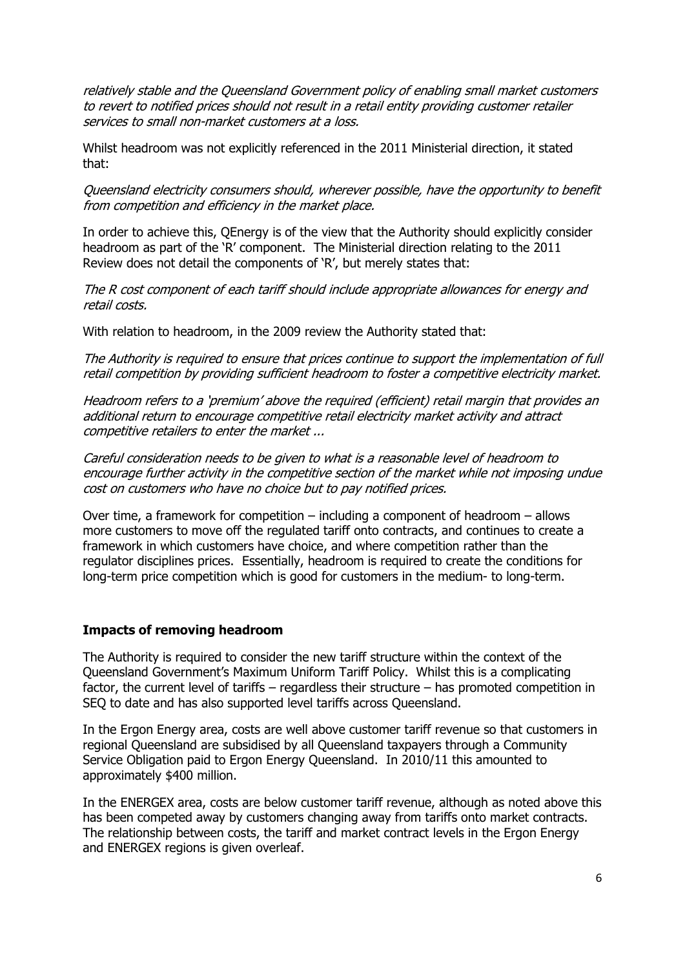relatively stable and the Queensland Government policy of enabling small market customers to revert to notified prices should not result in a retail entity providing customer retailer services to small non-market customers at a loss.

Whilst headroom was not explicitly referenced in the 2011 Ministerial direction, it stated that:

Queensland electricity consumers should, wherever possible, have the opportunity to benefit from competition and efficiency in the market place.

In order to achieve this, QEnergy is of the view that the Authority should explicitly consider headroom as part of the "R" component. The Ministerial direction relating to the 2011 Review does not detail the components of 'R', but merely states that:

The R cost component of each tariff should include appropriate allowances for energy and retail costs.

With relation to headroom, in the 2009 review the Authority stated that:

The Authority is required to ensure that prices continue to support the implementation of full retail competition by providing sufficient headroom to foster a competitive electricity market.

Headroom refers to a "premium" above the required (efficient) retail margin that provides an additional return to encourage competitive retail electricity market activity and attract competitive retailers to enter the market ...

Careful consideration needs to be given to what is a reasonable level of headroom to encourage further activity in the competitive section of the market while not imposing undue cost on customers who have no choice but to pay notified prices.

Over time, a framework for competition – including a component of headroom – allows more customers to move off the regulated tariff onto contracts, and continues to create a framework in which customers have choice, and where competition rather than the regulator disciplines prices. Essentially, headroom is required to create the conditions for long-term price competition which is good for customers in the medium- to long-term.

### **Impacts of removing headroom**

The Authority is required to consider the new tariff structure within the context of the Queensland Government"s Maximum Uniform Tariff Policy. Whilst this is a complicating factor, the current level of tariffs – regardless their structure – has promoted competition in SEQ to date and has also supported level tariffs across Queensland.

In the Ergon Energy area, costs are well above customer tariff revenue so that customers in regional Queensland are subsidised by all Queensland taxpayers through a Community Service Obligation paid to Ergon Energy Queensland. In 2010/11 this amounted to approximately \$400 million.

In the ENERGEX area, costs are below customer tariff revenue, although as noted above this has been competed away by customers changing away from tariffs onto market contracts. The relationship between costs, the tariff and market contract levels in the Ergon Energy and ENERGEX regions is given overleaf.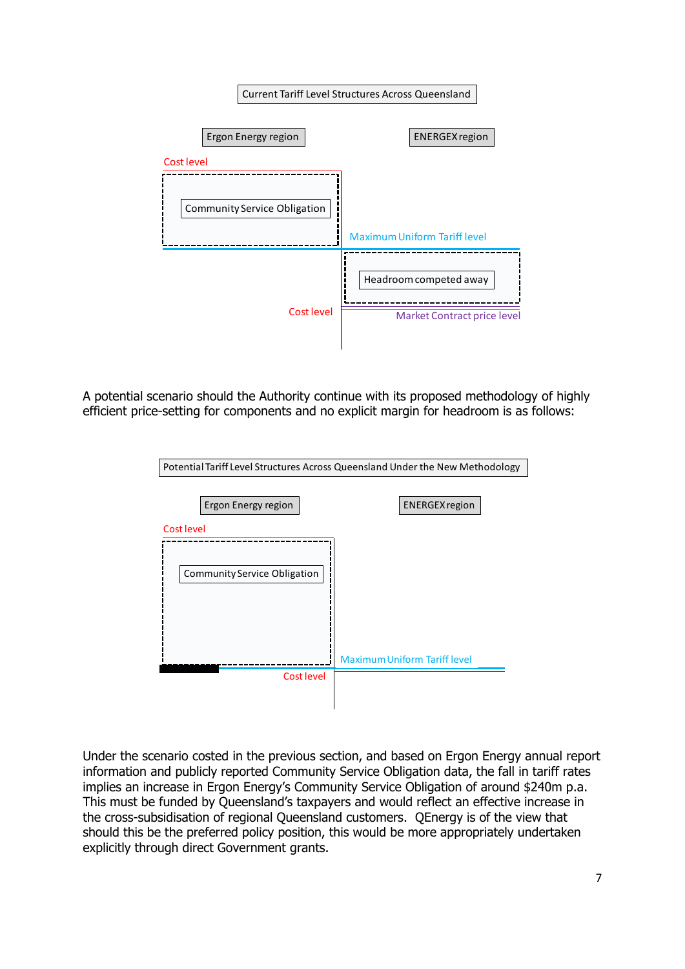| <b>Current Tariff Level Structures Across Queensland</b> |                                                              |
|----------------------------------------------------------|--------------------------------------------------------------|
| Ergon Energy region                                      | <b>ENERGEX region</b>                                        |
| Cost level                                               |                                                              |
| <b>Community Service Obligation</b>                      | <b>Maximum Uniform Tariff level</b>                          |
| Cost level                                               | Headroom competed away<br><b>Market Contract price level</b> |

A potential scenario should the Authority continue with its proposed methodology of highly efficient price-setting for components and no explicit margin for headroom is as follows:

| Potential Tariff Level Structures Across Queensland Under the New Methodology |                                                              |
|-------------------------------------------------------------------------------|--------------------------------------------------------------|
| Ergon Energy region<br>Cost level<br><b>Community Service Obligation</b>      | <b>ENERGEX</b> region<br><b>Maximum Uniform Tariff level</b> |
| Cost level                                                                    |                                                              |
|                                                                               |                                                              |

Under the scenario costed in the previous section, and based on Ergon Energy annual report information and publicly reported Community Service Obligation data, the fall in tariff rates implies an increase in Ergon Energy's Community Service Obligation of around \$240m p.a. This must be funded by Queensland"s taxpayers and would reflect an effective increase in the cross-subsidisation of regional Queensland customers. QEnergy is of the view that should this be the preferred policy position, this would be more appropriately undertaken explicitly through direct Government grants.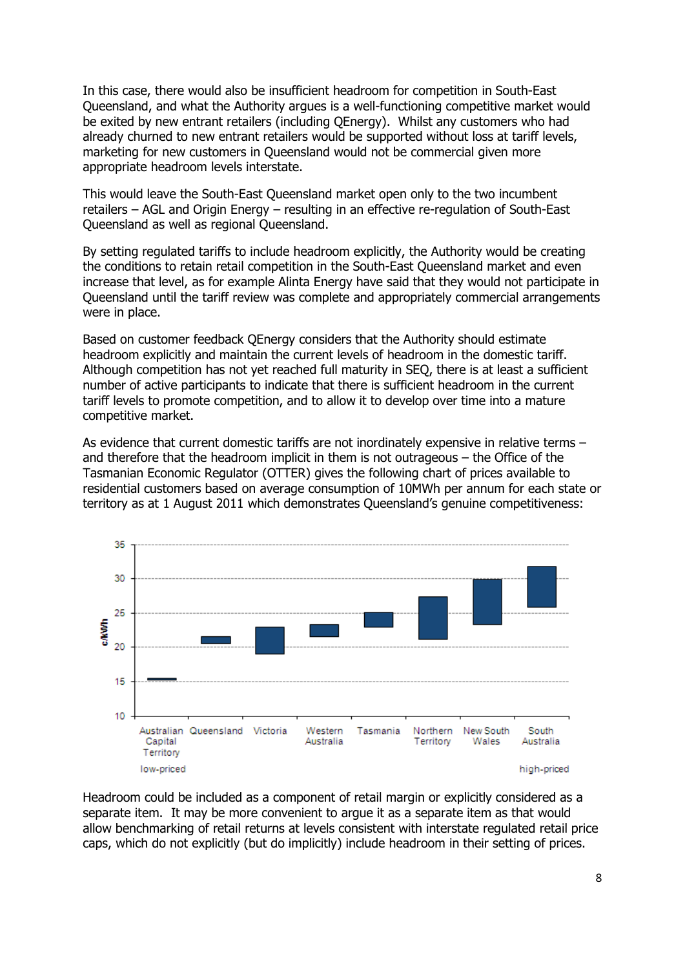In this case, there would also be insufficient headroom for competition in South-East Queensland, and what the Authority argues is a well-functioning competitive market would be exited by new entrant retailers (including QEnergy). Whilst any customers who had already churned to new entrant retailers would be supported without loss at tariff levels, marketing for new customers in Queensland would not be commercial given more appropriate headroom levels interstate.

This would leave the South-East Queensland market open only to the two incumbent retailers – AGL and Origin Energy – resulting in an effective re-regulation of South-East Queensland as well as regional Queensland.

By setting regulated tariffs to include headroom explicitly, the Authority would be creating the conditions to retain retail competition in the South-East Queensland market and even increase that level, as for example Alinta Energy have said that they would not participate in Queensland until the tariff review was complete and appropriately commercial arrangements were in place.

Based on customer feedback QEnergy considers that the Authority should estimate headroom explicitly and maintain the current levels of headroom in the domestic tariff. Although competition has not yet reached full maturity in SEQ, there is at least a sufficient number of active participants to indicate that there is sufficient headroom in the current tariff levels to promote competition, and to allow it to develop over time into a mature competitive market.

As evidence that current domestic tariffs are not inordinately expensive in relative terms – and therefore that the headroom implicit in them is not outrageous – the Office of the Tasmanian Economic Regulator (OTTER) gives the following chart of prices available to residential customers based on average consumption of 10MWh per annum for each state or territory as at 1 August 2011 which demonstrates Queensland"s genuine competitiveness:



Headroom could be included as a component of retail margin or explicitly considered as a separate item. It may be more convenient to argue it as a separate item as that would allow benchmarking of retail returns at levels consistent with interstate regulated retail price caps, which do not explicitly (but do implicitly) include headroom in their setting of prices.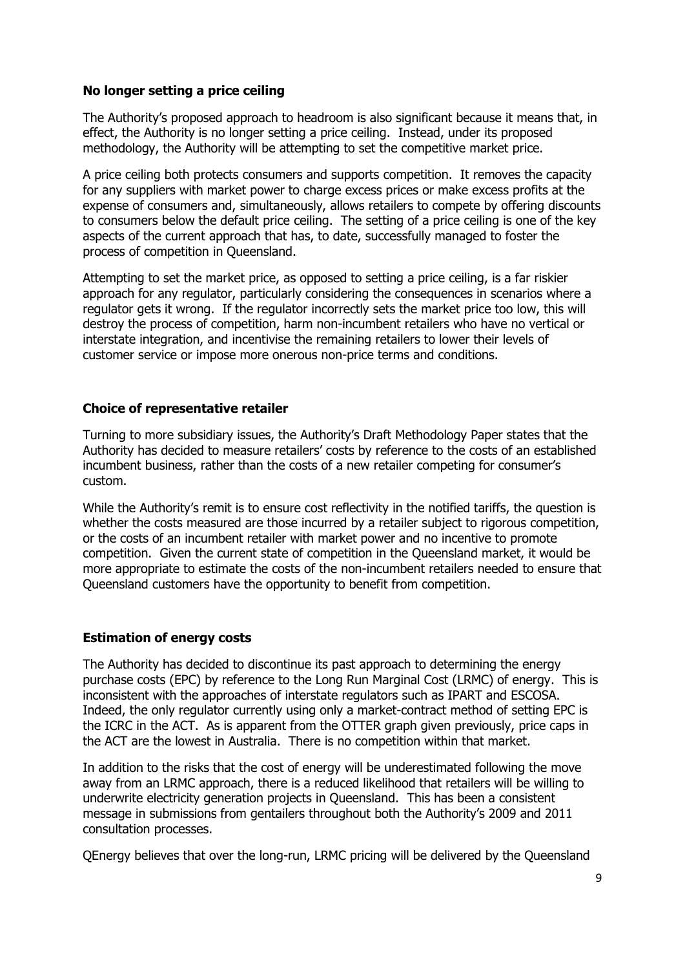## **No longer setting a price ceiling**

The Authority"s proposed approach to headroom is also significant because it means that, in effect, the Authority is no longer setting a price ceiling. Instead, under its proposed methodology, the Authority will be attempting to set the competitive market price.

A price ceiling both protects consumers and supports competition. It removes the capacity for any suppliers with market power to charge excess prices or make excess profits at the expense of consumers and, simultaneously, allows retailers to compete by offering discounts to consumers below the default price ceiling. The setting of a price ceiling is one of the key aspects of the current approach that has, to date, successfully managed to foster the process of competition in Queensland.

Attempting to set the market price, as opposed to setting a price ceiling, is a far riskier approach for any regulator, particularly considering the consequences in scenarios where a regulator gets it wrong. If the regulator incorrectly sets the market price too low, this will destroy the process of competition, harm non-incumbent retailers who have no vertical or interstate integration, and incentivise the remaining retailers to lower their levels of customer service or impose more onerous non-price terms and conditions.

### **Choice of representative retailer**

Turning to more subsidiary issues, the Authority"s Draft Methodology Paper states that the Authority has decided to measure retailers' costs by reference to the costs of an established incumbent business, rather than the costs of a new retailer competing for consumer"s custom.

While the Authority's remit is to ensure cost reflectivity in the notified tariffs, the question is whether the costs measured are those incurred by a retailer subject to rigorous competition, or the costs of an incumbent retailer with market power and no incentive to promote competition. Given the current state of competition in the Queensland market, it would be more appropriate to estimate the costs of the non-incumbent retailers needed to ensure that Queensland customers have the opportunity to benefit from competition.

### **Estimation of energy costs**

The Authority has decided to discontinue its past approach to determining the energy purchase costs (EPC) by reference to the Long Run Marginal Cost (LRMC) of energy. This is inconsistent with the approaches of interstate regulators such as IPART and ESCOSA. Indeed, the only regulator currently using only a market-contract method of setting EPC is the ICRC in the ACT. As is apparent from the OTTER graph given previously, price caps in the ACT are the lowest in Australia. There is no competition within that market.

In addition to the risks that the cost of energy will be underestimated following the move away from an LRMC approach, there is a reduced likelihood that retailers will be willing to underwrite electricity generation projects in Queensland. This has been a consistent message in submissions from gentailers throughout both the Authority"s 2009 and 2011 consultation processes.

QEnergy believes that over the long-run, LRMC pricing will be delivered by the Queensland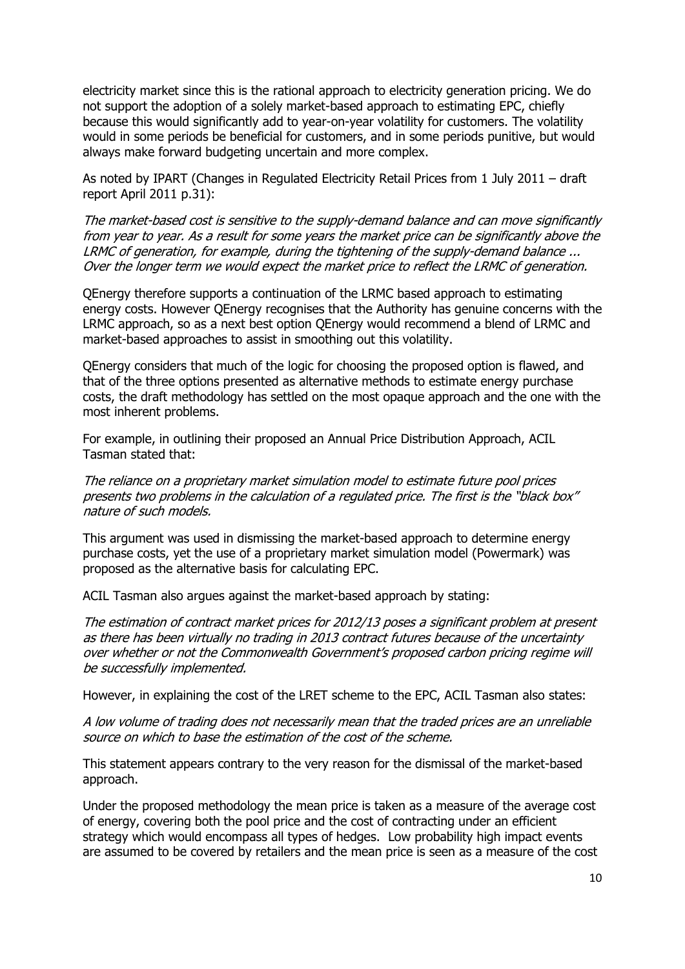electricity market since this is the rational approach to electricity generation pricing. We do not support the adoption of a solely market-based approach to estimating EPC, chiefly because this would significantly add to year-on-year volatility for customers. The volatility would in some periods be beneficial for customers, and in some periods punitive, but would always make forward budgeting uncertain and more complex.

As noted by IPART (Changes in Regulated Electricity Retail Prices from 1 July 2011 – draft report April 2011 p.31):

The market-based cost is sensitive to the supply-demand balance and can move significantly from year to year. As a result for some years the market price can be significantly above the LRMC of generation, for example, during the tightening of the supply-demand balance ... Over the longer term we would expect the market price to reflect the LRMC of generation.

QEnergy therefore supports a continuation of the LRMC based approach to estimating energy costs. However QEnergy recognises that the Authority has genuine concerns with the LRMC approach, so as a next best option QEnergy would recommend a blend of LRMC and market-based approaches to assist in smoothing out this volatility.

QEnergy considers that much of the logic for choosing the proposed option is flawed, and that of the three options presented as alternative methods to estimate energy purchase costs, the draft methodology has settled on the most opaque approach and the one with the most inherent problems.

For example, in outlining their proposed an Annual Price Distribution Approach, ACIL Tasman stated that:

The reliance on a proprietary market simulation model to estimate future pool prices presents two problems in the calculation of a regulated price. The first is the "black box" nature of such models.

This argument was used in dismissing the market-based approach to determine energy purchase costs, yet the use of a proprietary market simulation model (Powermark) was proposed as the alternative basis for calculating EPC.

ACIL Tasman also argues against the market-based approach by stating:

The estimation of contract market prices for 2012/13 poses a significant problem at present as there has been virtually no trading in 2013 contract futures because of the uncertainty over whether or not the Commonwealth Government's proposed carbon pricing regime will be successfully implemented.

However, in explaining the cost of the LRET scheme to the EPC, ACIL Tasman also states:

A low volume of trading does not necessarily mean that the traded prices are an unreliable source on which to base the estimation of the cost of the scheme.

This statement appears contrary to the very reason for the dismissal of the market-based approach.

Under the proposed methodology the mean price is taken as a measure of the average cost of energy, covering both the pool price and the cost of contracting under an efficient strategy which would encompass all types of hedges. Low probability high impact events are assumed to be covered by retailers and the mean price is seen as a measure of the cost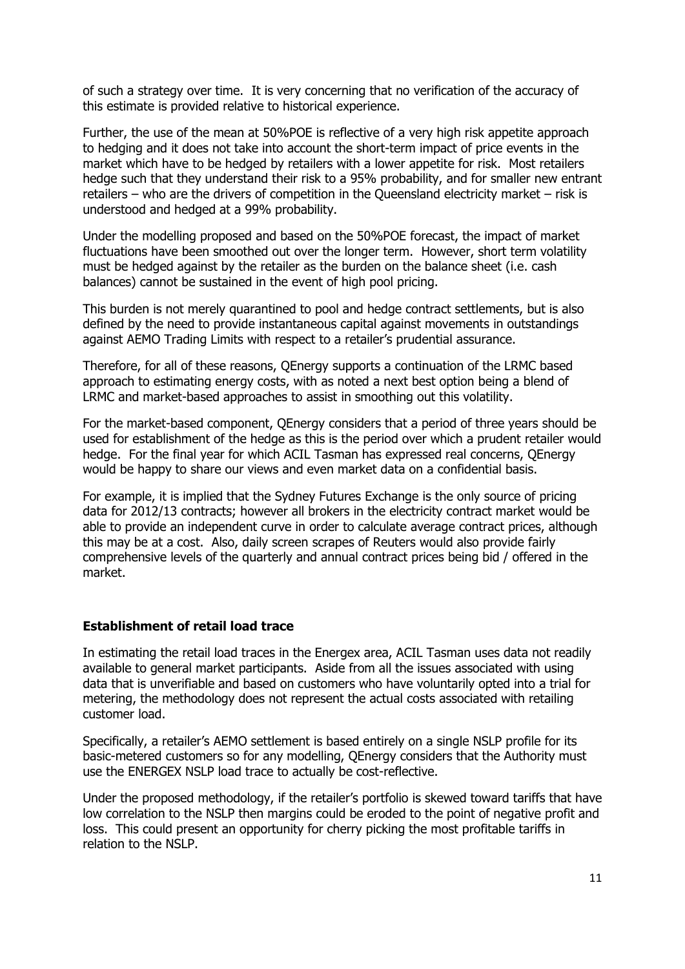of such a strategy over time. It is very concerning that no verification of the accuracy of this estimate is provided relative to historical experience.

Further, the use of the mean at 50%POE is reflective of a very high risk appetite approach to hedging and it does not take into account the short-term impact of price events in the market which have to be hedged by retailers with a lower appetite for risk. Most retailers hedge such that they understand their risk to a 95% probability, and for smaller new entrant retailers – who are the drivers of competition in the Queensland electricity market – risk is understood and hedged at a 99% probability.

Under the modelling proposed and based on the 50%POE forecast, the impact of market fluctuations have been smoothed out over the longer term. However, short term volatility must be hedged against by the retailer as the burden on the balance sheet (i.e. cash balances) cannot be sustained in the event of high pool pricing.

This burden is not merely quarantined to pool and hedge contract settlements, but is also defined by the need to provide instantaneous capital against movements in outstandings against AEMO Trading Limits with respect to a retailer"s prudential assurance.

Therefore, for all of these reasons, QEnergy supports a continuation of the LRMC based approach to estimating energy costs, with as noted a next best option being a blend of LRMC and market-based approaches to assist in smoothing out this volatility.

For the market-based component, QEnergy considers that a period of three years should be used for establishment of the hedge as this is the period over which a prudent retailer would hedge. For the final year for which ACIL Tasman has expressed real concerns, QEnergy would be happy to share our views and even market data on a confidential basis.

For example, it is implied that the Sydney Futures Exchange is the only source of pricing data for 2012/13 contracts; however all brokers in the electricity contract market would be able to provide an independent curve in order to calculate average contract prices, although this may be at a cost. Also, daily screen scrapes of Reuters would also provide fairly comprehensive levels of the quarterly and annual contract prices being bid / offered in the market.

### **Establishment of retail load trace**

In estimating the retail load traces in the Energex area, ACIL Tasman uses data not readily available to general market participants. Aside from all the issues associated with using data that is unverifiable and based on customers who have voluntarily opted into a trial for metering, the methodology does not represent the actual costs associated with retailing customer load.

Specifically, a retailer's AEMO settlement is based entirely on a single NSLP profile for its basic-metered customers so for any modelling, QEnergy considers that the Authority must use the ENERGEX NSLP load trace to actually be cost-reflective.

Under the proposed methodology, if the retailer"s portfolio is skewed toward tariffs that have low correlation to the NSLP then margins could be eroded to the point of negative profit and loss. This could present an opportunity for cherry picking the most profitable tariffs in relation to the NSLP.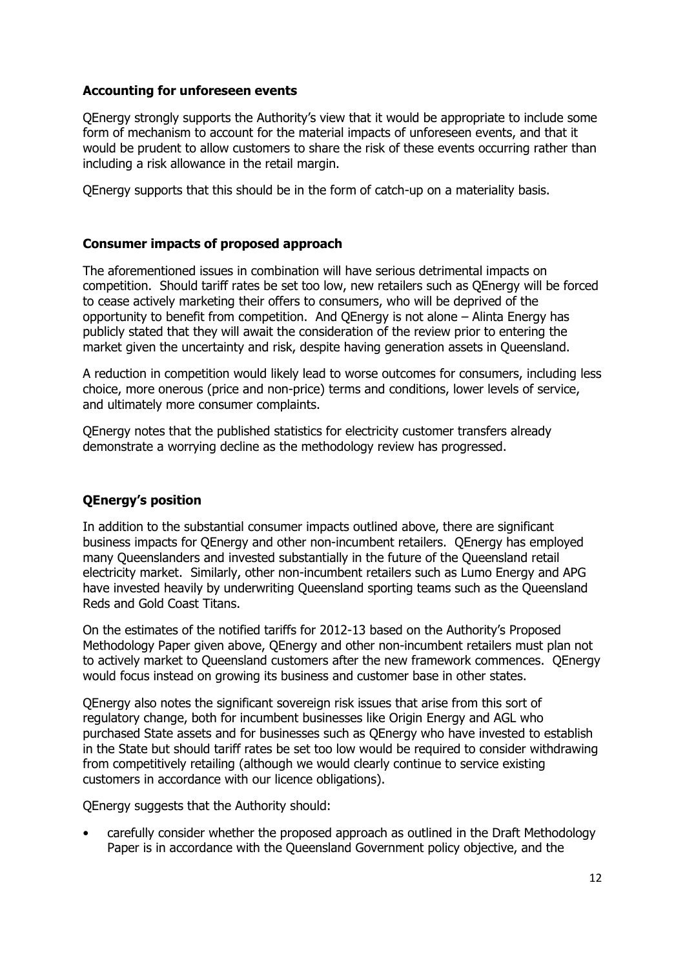## **Accounting for unforeseen events**

QEnergy strongly supports the Authority"s view that it would be appropriate to include some form of mechanism to account for the material impacts of unforeseen events, and that it would be prudent to allow customers to share the risk of these events occurring rather than including a risk allowance in the retail margin.

QEnergy supports that this should be in the form of catch-up on a materiality basis.

### **Consumer impacts of proposed approach**

The aforementioned issues in combination will have serious detrimental impacts on competition. Should tariff rates be set too low, new retailers such as QEnergy will be forced to cease actively marketing their offers to consumers, who will be deprived of the opportunity to benefit from competition. And QEnergy is not alone – Alinta Energy has publicly stated that they will await the consideration of the review prior to entering the market given the uncertainty and risk, despite having generation assets in Queensland.

A reduction in competition would likely lead to worse outcomes for consumers, including less choice, more onerous (price and non-price) terms and conditions, lower levels of service, and ultimately more consumer complaints.

QEnergy notes that the published statistics for electricity customer transfers already demonstrate a worrying decline as the methodology review has progressed.

# **QEnergy's position**

In addition to the substantial consumer impacts outlined above, there are significant business impacts for QEnergy and other non-incumbent retailers. QEnergy has employed many Queenslanders and invested substantially in the future of the Queensland retail electricity market. Similarly, other non-incumbent retailers such as Lumo Energy and APG have invested heavily by underwriting Queensland sporting teams such as the Queensland Reds and Gold Coast Titans.

On the estimates of the notified tariffs for 2012-13 based on the Authority"s Proposed Methodology Paper given above, QEnergy and other non-incumbent retailers must plan not to actively market to Queensland customers after the new framework commences. QEnergy would focus instead on growing its business and customer base in other states.

QEnergy also notes the significant sovereign risk issues that arise from this sort of regulatory change, both for incumbent businesses like Origin Energy and AGL who purchased State assets and for businesses such as QEnergy who have invested to establish in the State but should tariff rates be set too low would be required to consider withdrawing from competitively retailing (although we would clearly continue to service existing customers in accordance with our licence obligations).

QEnergy suggests that the Authority should:

• carefully consider whether the proposed approach as outlined in the Draft Methodology Paper is in accordance with the Queensland Government policy objective, and the